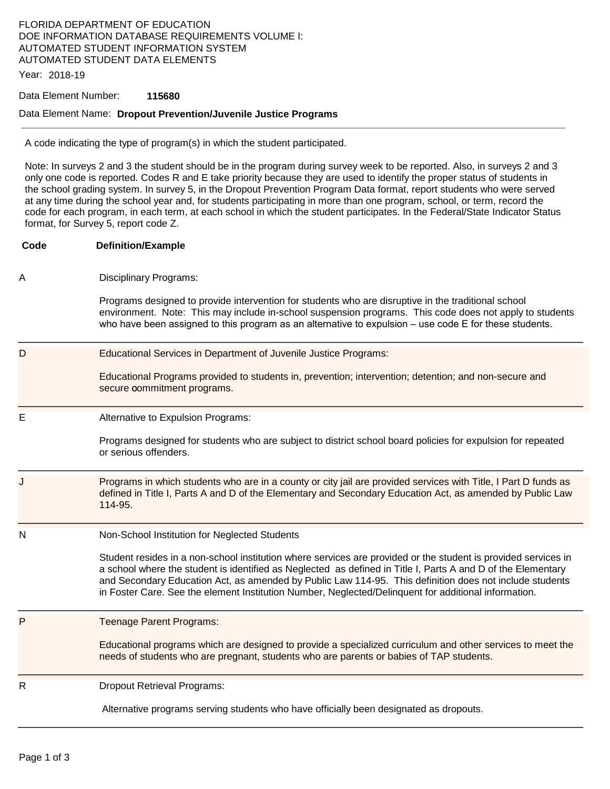## FLORIDA DEPARTMENT OF EDUCATION DOE INFORMATION DATABASE REQUIREMENTS VOLUME I: AUTOMATED STUDENT INFORMATION SYSTEM AUTOMATED STUDENT DATA ELEMENTS

Year: 2018-19

#### Data Element Number: **115680**

#### Data Element Name: **Dropout Prevention/Juvenile Justice Programs**

A code indicating the type of program(s) in which the student participated.

Note: In surveys 2 and 3 the student should be in the program during survey week to be reported. Also, in surveys 2 and 3 only one code is reported. Codes R and E take priority because they are used to identify the proper status of students in the school grading system. In survey 5, in the Dropout Prevention Program Data format, report students who were served at any time during the school year and, for students participating in more than one program, school, or term, record the code for each program, in each term, at each school in which the student participates. In the Federal/State Indicator Status format, for Survey 5, report code Z.

| Code         | <b>Definition/Example</b>                                                                                                                                                                                                                                                                                                                                                                                                                         |
|--------------|---------------------------------------------------------------------------------------------------------------------------------------------------------------------------------------------------------------------------------------------------------------------------------------------------------------------------------------------------------------------------------------------------------------------------------------------------|
| A            | <b>Disciplinary Programs:</b>                                                                                                                                                                                                                                                                                                                                                                                                                     |
|              | Programs designed to provide intervention for students who are disruptive in the traditional school<br>environment. Note: This may include in-school suspension programs. This code does not apply to students<br>who have been assigned to this program as an alternative to expulsion $-$ use code $E$ for these students.                                                                                                                      |
| D            | Educational Services in Department of Juvenile Justice Programs:                                                                                                                                                                                                                                                                                                                                                                                  |
|              | Educational Programs provided to students in, prevention; intervention; detention; and non-secure and<br>secure commitment programs.                                                                                                                                                                                                                                                                                                              |
| E            | Alternative to Expulsion Programs:                                                                                                                                                                                                                                                                                                                                                                                                                |
|              | Programs designed for students who are subject to district school board policies for expulsion for repeated<br>or serious offenders.                                                                                                                                                                                                                                                                                                              |
| J            | Programs in which students who are in a county or city jail are provided services with Title, I Part D funds as<br>defined in Title I, Parts A and D of the Elementary and Secondary Education Act, as amended by Public Law<br>114-95.                                                                                                                                                                                                           |
| N            | Non-School Institution for Neglected Students                                                                                                                                                                                                                                                                                                                                                                                                     |
|              | Student resides in a non-school institution where services are provided or the student is provided services in<br>a school where the student is identified as Neglected as defined in Title I, Parts A and D of the Elementary<br>and Secondary Education Act, as amended by Public Law 114-95. This definition does not include students<br>in Foster Care. See the element Institution Number, Neglected/Delinquent for additional information. |
| $\mathsf{P}$ | Teenage Parent Programs:                                                                                                                                                                                                                                                                                                                                                                                                                          |
|              | Educational programs which are designed to provide a specialized curriculum and other services to meet the<br>needs of students who are pregnant, students who are parents or babies of TAP students.                                                                                                                                                                                                                                             |
| R            | <b>Dropout Retrieval Programs:</b>                                                                                                                                                                                                                                                                                                                                                                                                                |

Alternative programs serving students who have officially been designated as dropouts.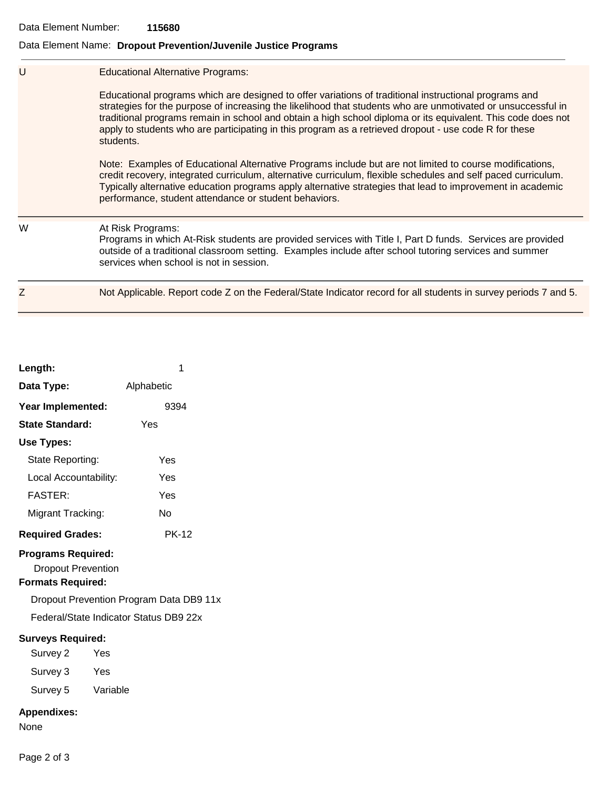### Data Element Number: **115680**

# Data Element Name: **Dropout Prevention/Juvenile Justice Programs**

| U | <b>Educational Alternative Programs:</b><br>Educational programs which are designed to offer variations of traditional instructional programs and<br>strategies for the purpose of increasing the likelihood that students who are unmotivated or unsuccessful in<br>traditional programs remain in school and obtain a high school diploma or its equivalent. This code does not<br>apply to students who are participating in this program as a retrieved dropout - use code R for these<br>students.<br>Note: Examples of Educational Alternative Programs include but are not limited to course modifications,<br>credit recovery, integrated curriculum, alternative curriculum, flexible schedules and self paced curriculum.<br>Typically alternative education programs apply alternative strategies that lead to improvement in academic<br>performance, student attendance or student behaviors. |
|---|------------------------------------------------------------------------------------------------------------------------------------------------------------------------------------------------------------------------------------------------------------------------------------------------------------------------------------------------------------------------------------------------------------------------------------------------------------------------------------------------------------------------------------------------------------------------------------------------------------------------------------------------------------------------------------------------------------------------------------------------------------------------------------------------------------------------------------------------------------------------------------------------------------|
| W | At Risk Programs:<br>Programs in which At-Risk students are provided services with Title I, Part D funds. Services are provided<br>outside of a traditional classroom setting. Examples include after school tutoring services and summer<br>services when school is not in session.                                                                                                                                                                                                                                                                                                                                                                                                                                                                                                                                                                                                                       |
| Z | Not Applicable. Report code Z on the Federal/State Indicator record for all students in survey periods 7 and 5.                                                                                                                                                                                                                                                                                                                                                                                                                                                                                                                                                                                                                                                                                                                                                                                            |
|   |                                                                                                                                                                                                                                                                                                                                                                                                                                                                                                                                                                                                                                                                                                                                                                                                                                                                                                            |

| Length:                                                                                                                                                                                                                                                           | 1            |  |  |  |
|-------------------------------------------------------------------------------------------------------------------------------------------------------------------------------------------------------------------------------------------------------------------|--------------|--|--|--|
| Data Type:                                                                                                                                                                                                                                                        | Alphabetic   |  |  |  |
| Year Implemented:                                                                                                                                                                                                                                                 | 9394         |  |  |  |
| <b>State Standard:</b>                                                                                                                                                                                                                                            | Yes          |  |  |  |
| Use Types:                                                                                                                                                                                                                                                        |              |  |  |  |
| State Reporting:                                                                                                                                                                                                                                                  | Yes          |  |  |  |
| Local Accountability:                                                                                                                                                                                                                                             | Yes          |  |  |  |
| <b>FASTER:</b>                                                                                                                                                                                                                                                    | Yes          |  |  |  |
| Migrant Tracking:                                                                                                                                                                                                                                                 | N٥           |  |  |  |
| <b>Required Grades:</b>                                                                                                                                                                                                                                           | <b>PK-12</b> |  |  |  |
| <b>Programs Required:</b><br><b>Dropout Prevention</b><br><b>Formats Required:</b><br>Dropout Prevention Program Data DB9 11x<br>Federal/State Indicator Status DB9 22x<br><b>Surveys Required:</b><br>Survey 2<br>Yes<br>Survey 3<br>Yes<br>Survey 5<br>Variable |              |  |  |  |
| <b>Appendixes:</b><br>None                                                                                                                                                                                                                                        |              |  |  |  |

Page 2 of 3